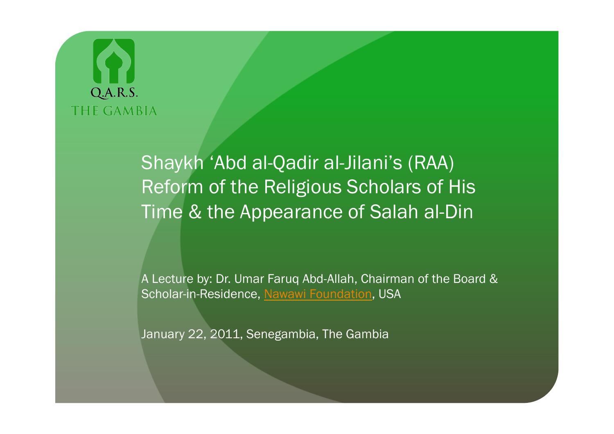Shaykh 'Abd al-Qadir al-Jilani's (RAA) Reform of the Religious Scholars of His Time & the Appearance of Salah al-Din

A Lecture by: Dr. Umar Faruq Abd-Allah, Chairman of the Board & Scholar-in-Residence, Nawawi Foundation, USA

January 22, 2011, Senegambia, The Gambia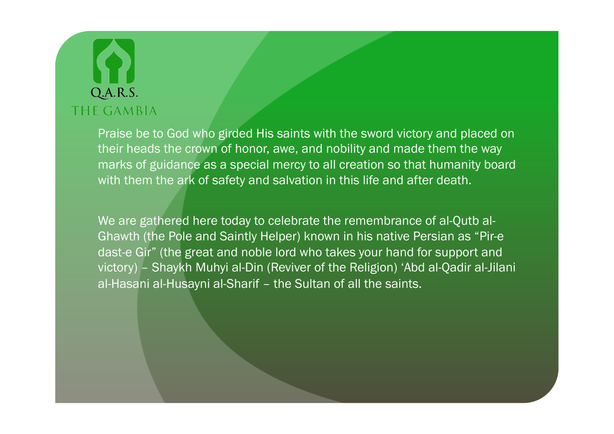Praise be to God who girded His saints with the sword victory and placed on their heads the crown of honor, awe, and nobility and made them the way marks of guidance as a special mercy to all creation so that humanity board with them the ark of safety and salvation in this life and after death.

We are gathered here today to celebrate the remembrance of al-Qutb al-Ghawth (the Pole and Saintly Helper) known in his native Persian as "Pir-e dast-e Gir" (the great and noble lord who takes your hand for support and victory) – Shaykh Muhyi al-Din (Reviver of the Religion) 'Abd al-Qadir al-Jilani al-Hasani al-Husayni al-Sharif – the Sultan of all the saints.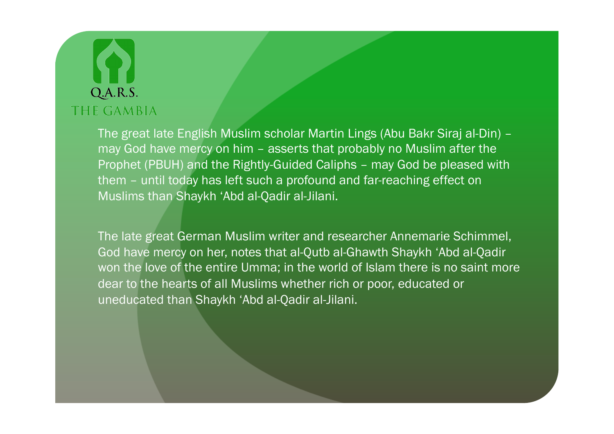The great late English Muslim scholar Martin Lings (Abu Bakr Siraj al-Din) – may God have mercy on him – asserts that probably no Muslim after the Prophet (PBUH) and the Rightly-Guided Caliphs – may God be pleased with them – until today has left such a profound and far-reaching effect on Muslims than Shaykh 'Abd al-Qadir al-Jilani.

The late great German Muslim writer and researcher Annemarie Schimmel, God have mercy on her, notes that al-Qutb al-Ghawth Shaykh 'Abd al-Qadir won the love of the entire Umma; in the world of Islam there is no saint more dear to the hearts of all Muslims whether rich or poor, educated or uneducated than Shaykh 'Abd al-Qadir al-Jilani.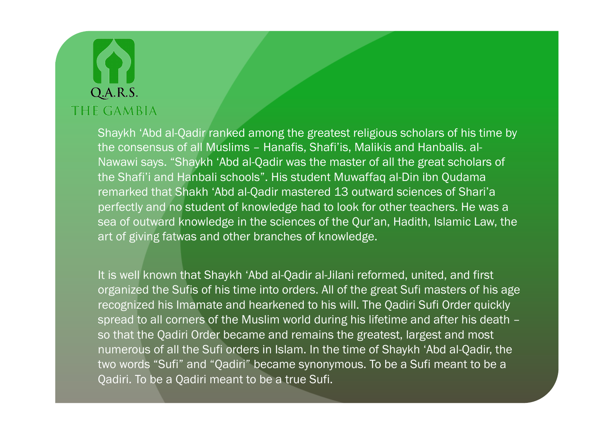Shaykh 'Abd al-Qadir ranked among the greatest religious scholars of his time by the consensus of all Muslims – Hanafis, Shafi'is, Malikis and Hanbalis. al-Nawawi says. "Shaykh 'Abd al-Qadir was the master of all the great scholars of the Shafi'i and Hanbali schools". His student Muwaffaq al-Din ibn Qudama remarked that Shakh 'Abd al-Qadir mastered 13 outward sciences of Shari'a perfectly and no student of knowledge had to look for other teachers. He was a sea of outward knowledge in the sciences of the Qur'an, Hadith, Islamic Law, the art of giving fatwas and other branches of knowledge.

It is well known that Shaykh 'Abd al-Qadir al-Jilani reformed, united, and first organized the Sufis of his time into orders. All of the great Sufi masters of his age recognized his Imamate and hearkened to his will. The Qadiri Sufi Order quickly spread to all corners of the Muslim world during his lifetime and after his death – so that the Qadiri Order became and remains the greatest, largest and most numerous of all the Sufi orders in Islam. In the time of Shaykh 'Abd al-Qadir, the two words "Sufi" and "Qadiri" became synonymous. To be a Sufi meant to be a Qadiri. To be a Qadiri meant to be a true Sufi.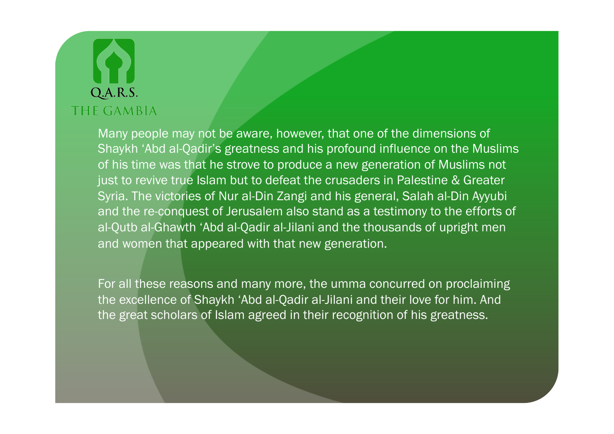Many people may not be aware, however, that one of the dimensions of Shaykh 'Abd al-Qadir's greatness and his profound influence on the Muslims of his time was that he strove to produce a new generation of Muslims not just to revive true Islam but to defeat the crusaders in Palestine & Greater Syria. The victories of Nur al-Din Zangi and his general, Salah al-Din Ayyubi and the re-conquest of Jerusalem also stand as a testimony to the efforts of al-Qutb al-Ghawth 'Abd al-Qadir al-Jilani and the thousands of upright men and women that appeared with that new generation.

For all these reasons and many more, the umma concurred on proclaiming the excellence of Shaykh 'Abd al-Qadir al-Jilani and their love for him. And the great scholars of Islam agreed in their recognition of his greatness.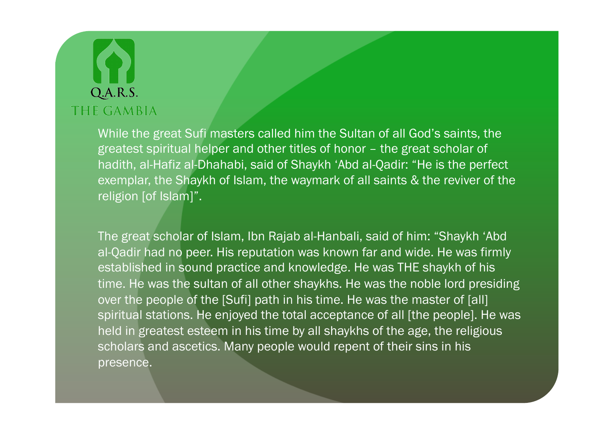While the great Sufi masters called him the Sultan of all God's saints, the greatest spiritual helper and other titles of honor – the great scholar of hadith, al-Hafiz al-Dhahabi, said of Shaykh 'Abd al-Qadir: "He is the perfect exemplar, the Shaykh of Islam, the waymark of all saints & the reviver of the religion [of Islam]".

The great scholar of Islam, Ibn Rajab al-Hanbali, said of him: "Shaykh 'Abd al-Qadir had no peer. His reputation was known far and wide. He was firmly established in sound practice and knowledge. He was THE shaykh of his time. He was the sultan of all other shaykhs. He was the noble lord presiding over the people of the [Sufi] path in his time. He was the master of [all] spiritual stations. He enjoyed the total acceptance of all [the people]. He was held in greatest esteem in his time by all shaykhs of the age, the religious scholars and ascetics. Many people would repent of their sins in his presence.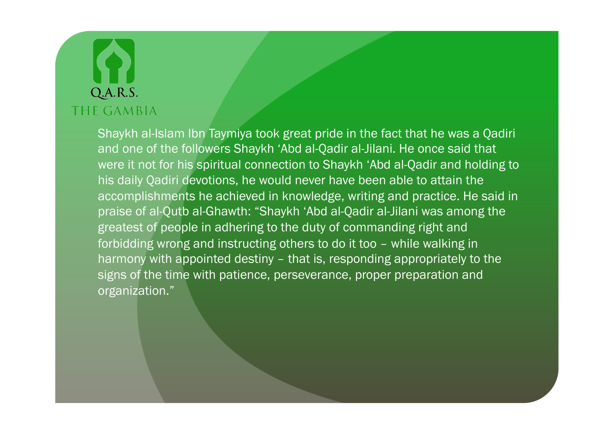Shaykh al-Islam Ibn Taymiya took great pride in the fact that he was a Qadiri and one of the followers Shaykh 'Abd al-Qadir al-Jilani. He once said that were it not for his spiritual connection to Shaykh 'Abd al-Qadir and holding to his daily Qadiri devotions, he would never have been able to attain the accomplishments he achieved in knowledge, writing and practice. He said in praise of al-Qutb al-Ghawth: "Shaykh 'Abd al-Qadir al-Jilani was among the greatest of people in adhering to the duty of commanding right and forbidding wrong and instructing others to do it too – while walking in harmony with appointed destiny – that is, responding appropriately to the signs of the time with patience, perseverance, proper preparation and organization."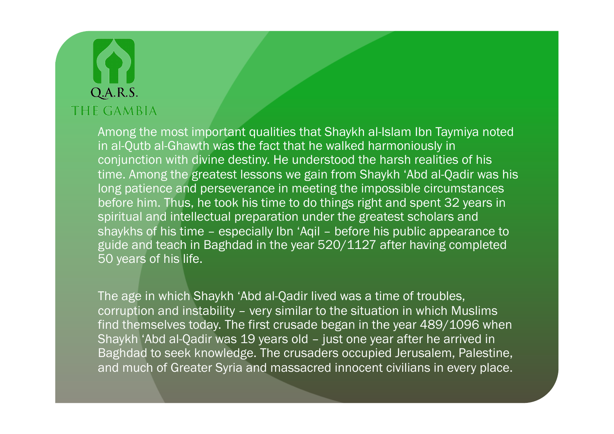Among the most important qualities that Shaykh al-Islam Ibn Taymiya noted in al-Qutb al-Ghawth was the fact that he walked harmoniously in conjunction with divine destiny. He understood the harsh realities of his time. Among the greatest lessons we gain from Shaykh 'Abd al-Qadir was his long patience and perseverance in meeting the impossible circumstances before him. Thus, he took his time to do things right and spent 32 years in spiritual and intellectual preparation under the greatest scholars and shaykhs of his time – especially Ibn 'Aqil – before his public appearance to guide and teach in Baghdad in the year 520/1127 after having completed 50 years of his life.

The age in which Shaykh 'Abd al-Qadir lived was a time of troubles, corruption and instability – very similar to the situation in which Muslims find themselves today. The first crusade began in the year 489/1096 when Shaykh 'Abd al-Qadir was 19 years old – just one year after he arrived in Baghdad to seek knowledge. The crusaders occupied Jerusalem, Palestine, and much of Greater Syria and massacred innocent civilians in every place.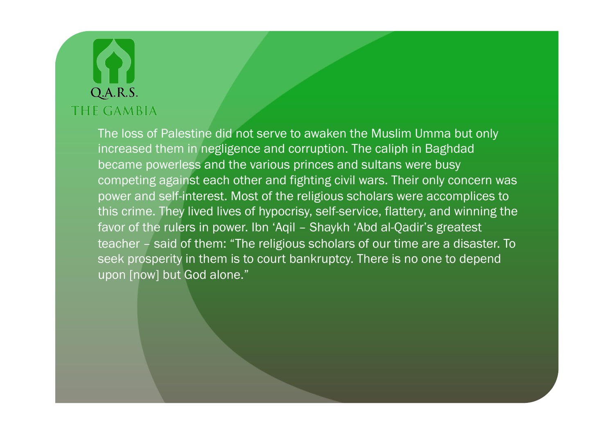The loss of Palestine did not serve to awaken the Muslim Umma but only increased them in negligence and corruption. The caliph in Baghdad became powerless and the various princes and sultans were busy competing against each other and fighting civil wars. Their only concern was power and self-interest. Most of the religious scholars were accomplices to this crime. They lived lives of hypocrisy, self-service, flattery, and winning the favor of the rulers in power. Ibn 'Aqil – Shaykh 'Abd al-Qadir's greatest teacher – said of them: "The religious scholars of our time are a disaster. To seek prosperity in them is to court bankruptcy. There is no one to depend upon [now] but God alone."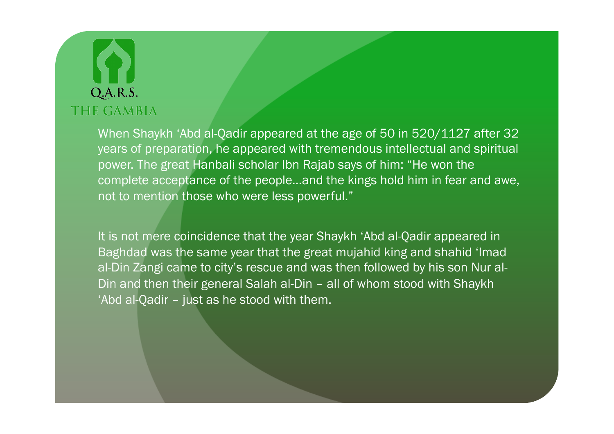When Shaykh 'Abd al-Qadir appeared at the age of 50 in 520/1127 after 32 years of preparation, he appeared with tremendous intellectual and spiritual power. The great Hanbali scholar Ibn Rajab says of him: "He won the complete acceptance of the people…and the kings hold him in fear and awe, not to mention those who were less powerful."

It is not mere coincidence that the year Shaykh 'Abd al-Qadir appeared in Baghdad was the same year that the great mujahid king and shahid 'Imad al-Din Zangi came to city's rescue and was then followed by his son Nur al-Din and then their general Salah al-Din – all of whom stood with Shaykh 'Abd al-Qadir – just as he stood with them.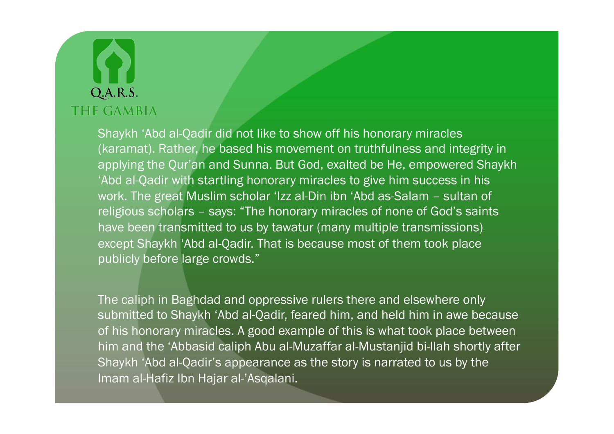Shaykh 'Abd al-Qadir did not like to show off his honorary miracles (karamat). Rather, he based his movement on truthfulness and integrity in applying the Qur'an and Sunna. But God, exalted be He, empowered Shaykh 'Abd al-Qadir with startling honorary miracles to give him success in his work. The great Muslim scholar 'Izz al-Din ibn 'Abd as-Salam – sultan of religious scholars – says: "The honorary miracles of none of God's saints have been transmitted to us by tawatur (many multiple transmissions) except Shaykh 'Abd al-Qadir. That is because most of them took place publicly before large crowds."

The caliph in Baghdad and oppressive rulers there and elsewhere only submitted to Shaykh 'Abd al-Qadir, feared him, and held him in awe because of his honorary miracles. A good example of this is what took place between him and the 'Abbasid caliph Abu al-Muzaffar al-Mustanjid bi-llah shortly after Shaykh 'Abd al-Qadir's appearance as the story is narrated to us by the Imam al-Hafiz Ibn Hajar al-'Asqalani.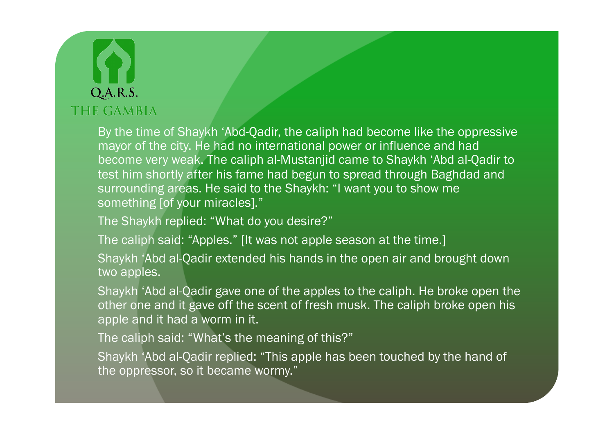By the time of Shaykh 'Abd-Qadir, the caliph had become like the oppressive mayor of the city. He had no international power or influence and had become very weak. The caliph al-Mustanjid came to Shaykh 'Abd al-Qadir to test him shortly after his fame had begun to spread through Baghdad and surrounding areas. He said to the Shaykh: "I want you to show me something [of your miracles]."

The Shaykh replied: "What do you desire?"

The caliph said: "Apples." [It was not apple season at the time.]

Shaykh 'Abd al-Qadir extended his hands in the open air and brought down two apples.

Shaykh 'Abd al-Qadir gave one of the apples to the caliph. He broke open the other one and it gave off the scent of fresh musk. The caliph broke open his apple and it had a worm in it.

The caliph said: "What's the meaning of this?"

Shaykh 'Abd al-Qadir replied: "This apple has been touched by the hand of the oppressor, so it became wormy."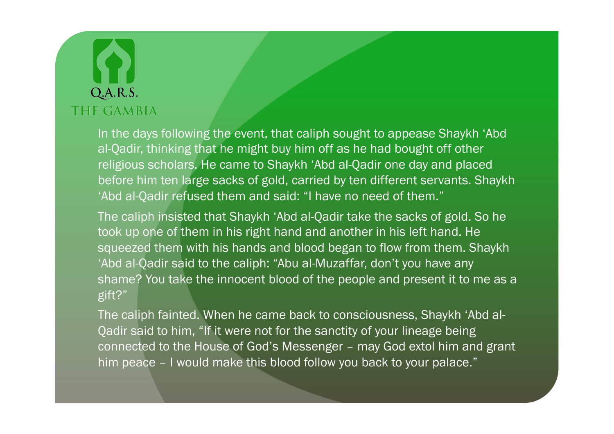In the days following the event, that caliph sought to appease Shaykh 'Abd al-Qadir, thinking that he might buy him off as he had bought off other religious scholars. He came to Shaykh 'Abd al-Qadir one day and placed before him ten large sacks of gold, carried by ten different servants. Shaykh 'Abd al-Qadir refused them and said: "I have no need of them."

The caliph insisted that Shaykh 'Abd al-Qadir take the sacks of gold. So he took up one of them in his right hand and another in his left hand. He squeezed them with his hands and blood began to flow from them. Shaykh 'Abd al-Qadir said to the caliph: "Abu al-Muzaffar, don't you have any shame? You take the innocent blood of the people and present it to me as a gift?"

The caliph fainted. When he came back to consciousness, Shaykh 'Abd al-Qadir said to him, "If it were not for the sanctity of your lineage being connected to the House of God's Messenger – may God extol him and grant him peace - I would make this blood follow you back to your palace."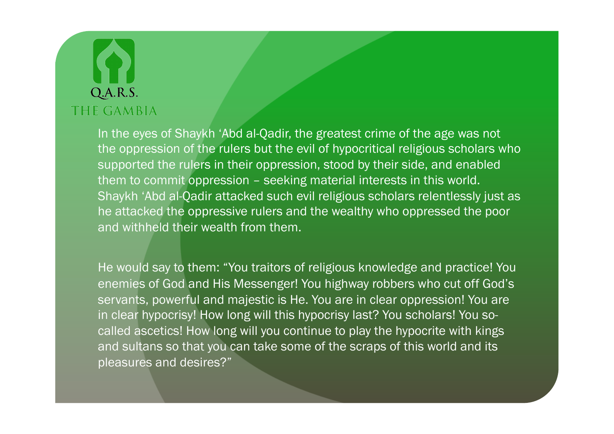In the eyes of Shaykh 'Abd al-Qadir, the greatest crime of the age was not the oppression of the rulers but the evil of hypocritical religious scholars who supported the rulers in their oppression, stood by their side, and enabled them to commit oppression – seeking material interests in this world. Shaykh 'Abd al-Qadir attacked such evil religious scholars relentlessly just as he attacked the oppressive rulers and the wealthy who oppressed the poor and withheld their wealth from them.

He would say to them: "You traitors of religious knowledge and practice! You enemies of God and His Messenger! You highway robbers who cut off God's servants, powerful and majestic is He. You are in clear oppression! You are in clear hypocrisy! How long will this hypocrisy last? You scholars! You socalled ascetics! How long will you continue to play the hypocrite with kings and sultans so that you can take some of the scraps of this world and its pleasures and desires?"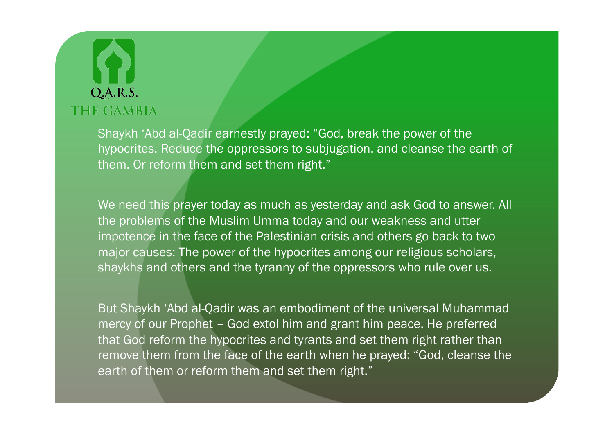Shaykh 'Abd al-Qadir earnestly prayed: "God, break the power of the hypocrites. Reduce the oppressors to subjugation, and cleanse the earth of them. Or reform them and set them right."

We need this prayer today as much as yesterday and ask God to answer. All the problems of the Muslim Umma today and our weakness and utter impotence in the face of the Palestinian crisis and others go back to two major causes: The power of the hypocrites among our religious scholars, shaykhs and others and the tyranny of the oppressors who rule over us.

But Shaykh 'Abd al-Qadir was an embodiment of the universal Muhammad mercy of our Prophet – God extol him and grant him peace. He preferred that God reform the hypocrites and tyrants and set them right rather than remove them from the face of the earth when he prayed: "God, cleanse the earth of them or reform them and set them right."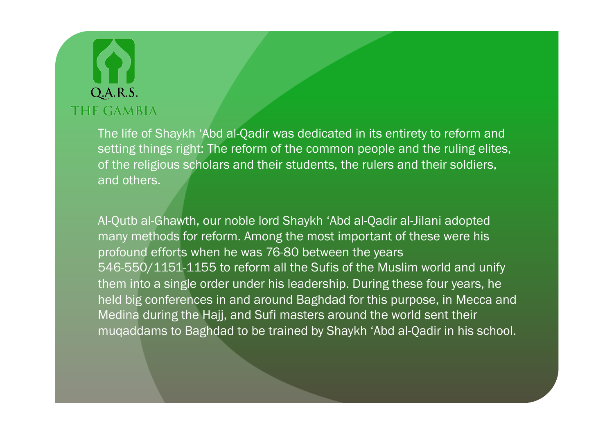The life of Shaykh 'Abd al-Qadir was dedicated in its entirety to reform and setting things right: The reform of the common people and the ruling elites, of the religious scholars and their students, the rulers and their soldiers, and others.

Al-Qutb al-Ghawth, our noble lord Shaykh 'Abd al-Qadir al-Jilani adopted many methods for reform. Among the most important of these were his profound efforts when he was 76-80 between the years 546-550/1151-1155 to reform all the Sufis of the Muslim world and unify them into a single order under his leadership. During these four years, he held big conferences in and around Baghdad for this purpose, in Mecca and Medina during the Hajj, and Sufi masters around the world sent their muqaddams to Baghdad to be trained by Shaykh 'Abd al-Qadir in his school.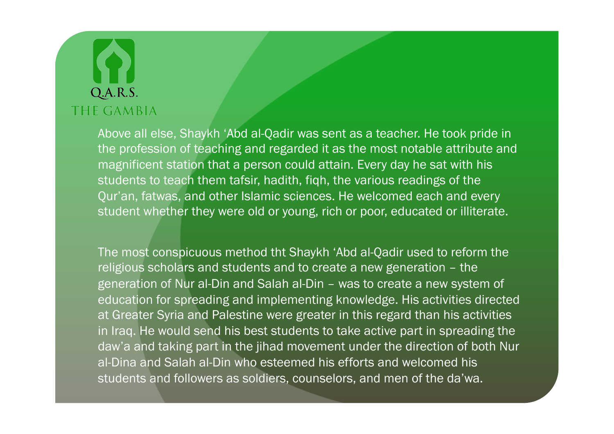Above all else, Shaykh 'Abd al-Qadir was sent as a teacher. He took pride in the profession of teaching and regarded it as the most notable attribute and magnificent station that a person could attain. Every day he sat with his students to teach them tafsir, hadith, fiqh, the various readings of the Qur'an, fatwas, and other Islamic sciences. He welcomed each and every student whether they were old or young, rich or poor, educated or illiterate.

The most conspicuous method tht Shaykh 'Abd al-Qadir used to reform the religious scholars and students and to create a new generation – the generation of Nur al-Din and Salah al-Din – was to create a new system of education for spreading and implementing knowledge. His activities directed at Greater Syria and Palestine were greater in this regard than his activities in Iraq. He would send his best students to take active part in spreading the daw'a and taking part in the jihad movement under the direction of both Nur al-Dina and Salah al-Din who esteemed his efforts and welcomed his students and followers as soldiers, counselors, and men of the da'wa.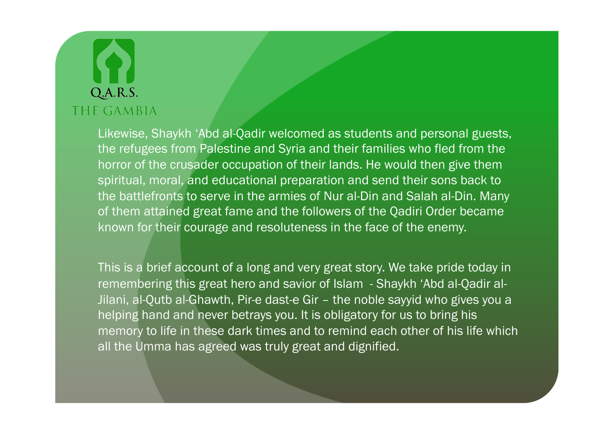Likewise, Shaykh 'Abd al-Qadir welcomed as students and personal guests, the refugees from Palestine and Syria and their families who fled from the horror of the crusader occupation of their lands. He would then give them spiritual, moral, and educational preparation and send their sons back to the battlefronts to serve in the armies of Nur al-Din and Salah al-Din. Many of them attained great fame and the followers of the Qadiri Order became known for their courage and resoluteness in the face of the enemy.

This is a brief account of a long and very great story. We take pride today in remembering this great hero and savior of Islam - Shaykh 'Abd al-Qadir al-Jilani, al-Qutb al-Ghawth, Pir-e dast-e Gir - the noble sayyid who gives you a helping hand and never betrays you. It is obligatory for us to bring his memory to life in these dark times and to remind each other of his life which all the Umma has agreed was truly great and dignified.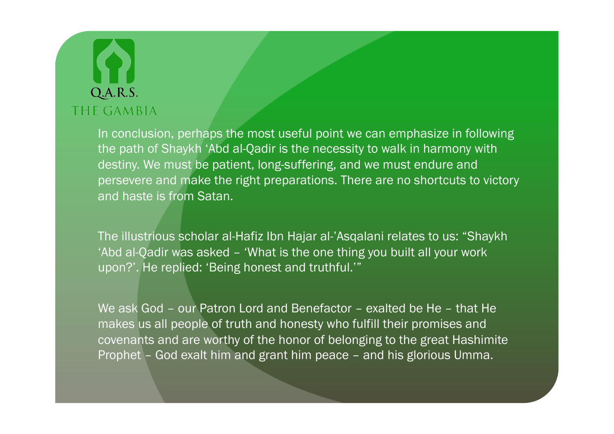In conclusion, perhaps the most useful point we can emphasize in following the path of Shaykh 'Abd al-Qadir is the necessity to walk in harmony with destiny. We must be patient, long-suffering, and we must endure and persevere and make the right preparations. There are no shortcuts to victory and haste is from Satan.

The illustrious scholar al-Hafiz Ibn Hajar al-'Asqalani relates to us: "Shaykh 'Abd al-Qadir was asked – 'What is the one thing you built all your work upon?'. He replied: 'Being honest and truthful.'"

We ask God – our Patron Lord and Benefactor – exalted be He – that He makes us all people of truth and honesty who fulfill their promises and covenants and are worthy of the honor of belonging to the great Hashimite Prophet – God exalt him and grant him peace – and his glorious Umma.